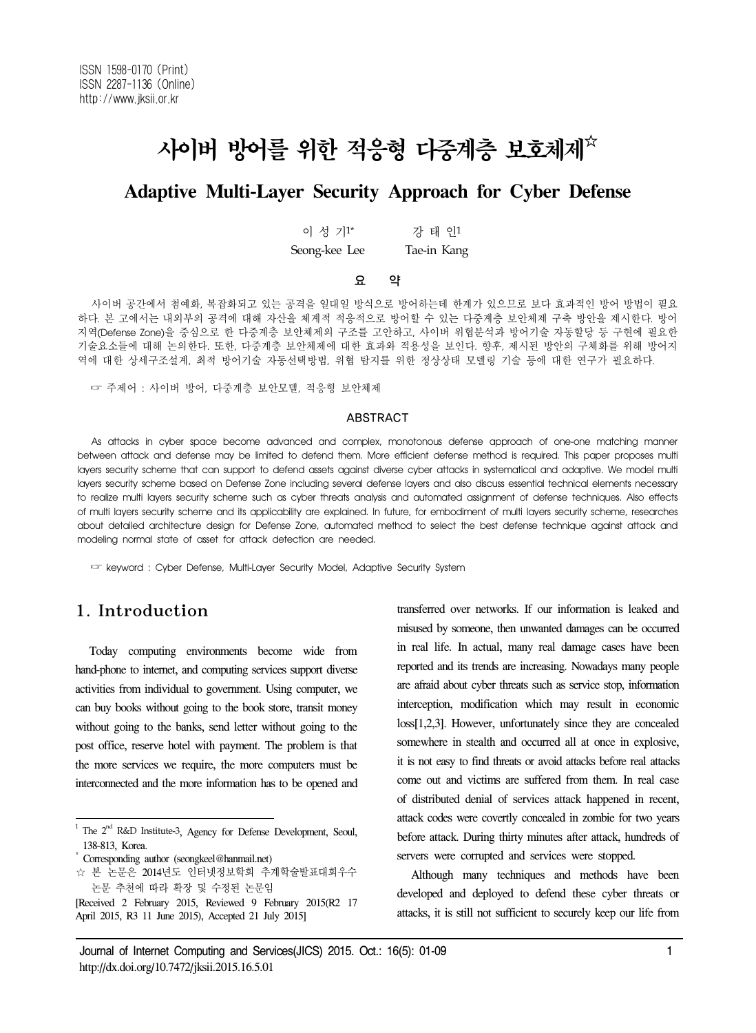# 사이버 방어를 위한 적응형 다중계층 보호체제☆

## **Adaptive Multi-Layer Security Approach for Cyber Defense**

이 성 기1\* 가 태 인1 Seong-kee Lee Tae-in Kang

#### 요 약

사이버 공간에서 첨예화, 복잡화되고 있는 공격을 일대일 방식으로 방어하는데 한계가 있으므로 보다 효과적인 방어 방법이 필요 하다. 본 고에서는 내외부의 공격에 대해 자산을 체계적 적응적으로 방어할 수 있는 다중계층 보안체제 구축 방안을 제시한다. 방어 지역(Defense Zone)을 중심으로 한 다중계층 보안체제의 구조를 고안하고, 사이버 위협분석과 방어기술 자동할당 등 구현에 필요한 기술요소들에 대해 논의한다. 또한, 다중계층 보안체제에 대한 효과와 적용성을 보인다. 향후, 제시된 방안의 구체화를 위해 방어지 역에 대한 상세구조설계, 최적 방어기술 자동선택방법, 위협 탐지를 위한 정상상태 모델링 기술 등에 대한 연구가 필요하다.

☞ 주제어 : 사이버 방어, 다중계층 보안모델, 적응형 보안체제

#### ABSTRACT

As attacks in cyber space become advanced and complex, monotonous defense approach of one-one matching manner between attack and defense may be limited to defend them. More efficient defense method is required. This paper proposes multi layers security scheme that can support to defend assets against diverse cyber attacks in systematical and adaptive. We model multi layers security scheme based on Defense Zone including several defense layers and also discuss essential technical elements necessary to realize multi layers security scheme such as cyber threats analysis and automated assignment of defense techniques. Also effects of multi layers security scheme and its applicability are explained. In future, for embodiment of multi layers security scheme, researches about detailed architecture design for Defense Zone, automated method to select the best defense technique against attack and modeling normal state of asset for attack detection are needed.

☞ keyword : Cyber Defense, Multi-Layer Security Model, Adaptive Security System

## 1. Introduction

Today computing environments become wide from hand-phone to internet, and computing services support diverse activities from individual to government. Using computer, we can buy books without going to the book store, transit money without going to the banks, send letter without going to the post office, reserve hotel with payment. The problem is that the more services we require, the more computers must be interconnected and the more information has to be opened and

transferred over networks. If our information is leaked and misused by someone, then unwanted damages can be occurred in real life. In actual, many real damage cases have been reported and its trends are increasing. Nowadays many people are afraid about cyber threats such as service stop, information interception, modification which may result in economic loss[1,2,3]. However, unfortunately since they are concealed somewhere in stealth and occurred all at once in explosive, it is not easy to find threats or avoid attacks before real attacks come out and victims are suffered from them. In real case of distributed denial of services attack happened in recent, attack codes were covertly concealed in zombie for two years before attack. During thirty minutes after attack, hundreds of servers were corrupted and services were stopped.

Although many techniques and methods have been developed and deployed to defend these cyber threats or attacks, it is still not sufficient to securely keep our life from

<sup>&</sup>lt;sup>1</sup> The  $2<sup>nd</sup>$  R&D Institute-3, Agency for Defense Development, Seoul, 138-813, Korea.

<sup>\*</sup> Corresponding author (seongkeel@hanmail.net)

<sup>☆</sup> 본 논문은 2014년도 인터넷정보학회 추계학술발표대회우수 논문 추천에 따라 확장 및 수정된 논문임

<sup>[</sup>Received 2 February 2015, Reviewed 9 February 2015(R2 17 April 2015, R3 11 June 2015), Accepted 21 July 2015]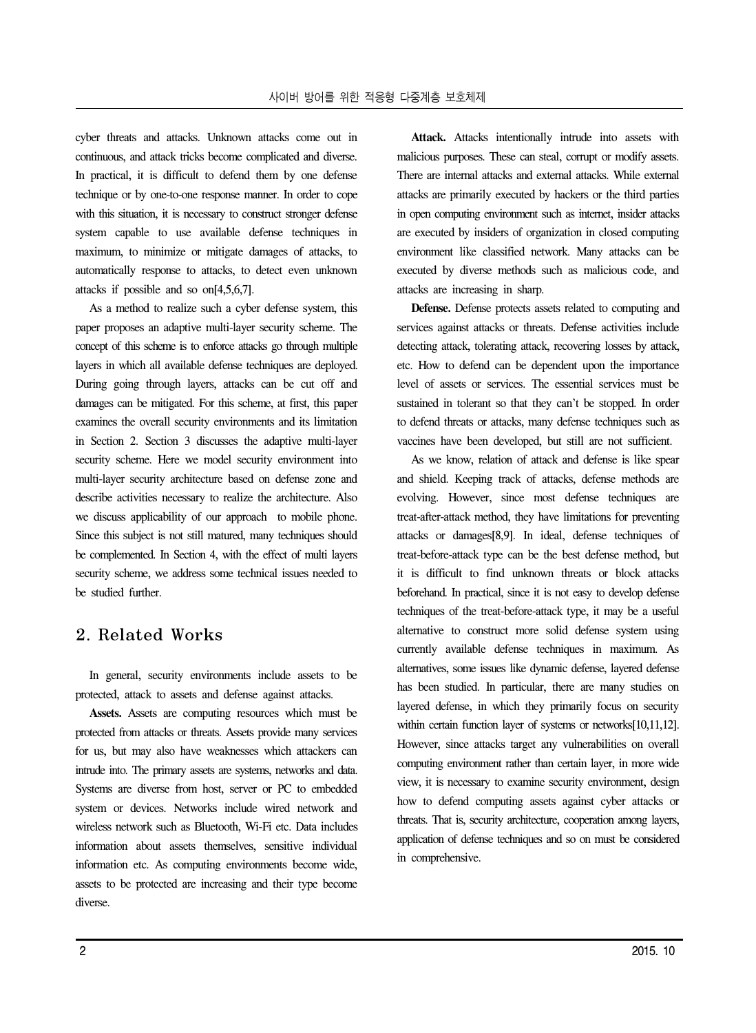cyber threats and attacks. Unknown attacks come out in continuous, and attack tricks become complicated and diverse. In practical, it is difficult to defend them by one defense technique or by one-to-one response manner. In order to cope with this situation, it is necessary to construct stronger defense system capable to use available defense techniques in maximum, to minimize or mitigate damages of attacks, to automatically response to attacks, to detect even unknown attacks if possible and so on[4,5,6,7].

As a method to realize such a cyber defense system, this paper proposes an adaptive multi-layer security scheme. The concept of this scheme is to enforce attacks go through multiple layers in which all available defense techniques are deployed. During going through layers, attacks can be cut off and damages can be mitigated. For this scheme, at first, this paper examines the overall security environments and its limitation in Section 2. Section 3 discusses the adaptive multi-layer security scheme. Here we model security environment into multi-layer security architecture based on defense zone and describe activities necessary to realize the architecture. Also we discuss applicability of our approach to mobile phone. Since this subject is not still matured, many techniques should be complemented. In Section 4, with the effect of multi layers security scheme, we address some technical issues needed to be studied further.

## 2. Related Works

In general, security environments include assets to be protected, attack to assets and defense against attacks.

**Assets.** Assets are computing resources which must be protected from attacks or threats. Assets provide many services for us, but may also have weaknesses which attackers can intrude into. The primary assets are systems, networks and data. Systems are diverse from host, server or PC to embedded system or devices. Networks include wired network and wireless network such as Bluetooth, Wi-Fi etc. Data includes information about assets themselves, sensitive individual information etc. As computing environments become wide, assets to be protected are increasing and their type become diverse.

**Attack.** Attacks intentionally intrude into assets with malicious purposes. These can steal, corrupt or modify assets. There are internal attacks and external attacks. While external attacks are primarily executed by hackers or the third parties in open computing environment such as internet, insider attacks are executed by insiders of organization in closed computing environment like classified network. Many attacks can be executed by diverse methods such as malicious code, and attacks are increasing in sharp.

**Defense.** Defense protects assets related to computing and services against attacks or threats. Defense activities include detecting attack, tolerating attack, recovering losses by attack, etc. How to defend can be dependent upon the importance level of assets or services. The essential services must be sustained in tolerant so that they can't be stopped. In order to defend threats or attacks, many defense techniques such as vaccines have been developed, but still are not sufficient.

As we know, relation of attack and defense is like spear and shield. Keeping track of attacks, defense methods are evolving. However, since most defense techniques are treat-after-attack method, they have limitations for preventing attacks or damages[8,9]. In ideal, defense techniques of treat-before-attack type can be the best defense method, but it is difficult to find unknown threats or block attacks beforehand. In practical, since it is not easy to develop defense techniques of the treat-before-attack type, it may be a useful alternative to construct more solid defense system using currently available defense techniques in maximum. As alternatives, some issues like dynamic defense, layered defense has been studied. In particular, there are many studies on layered defense, in which they primarily focus on security within certain function layer of systems or networks[10,11,12]. However, since attacks target any vulnerabilities on overall computing environment rather than certain layer, in more wide view, it is necessary to examine security environment, design how to defend computing assets against cyber attacks or threats. That is, security architecture, cooperation among layers, application of defense techniques and so on must be considered in comprehensive.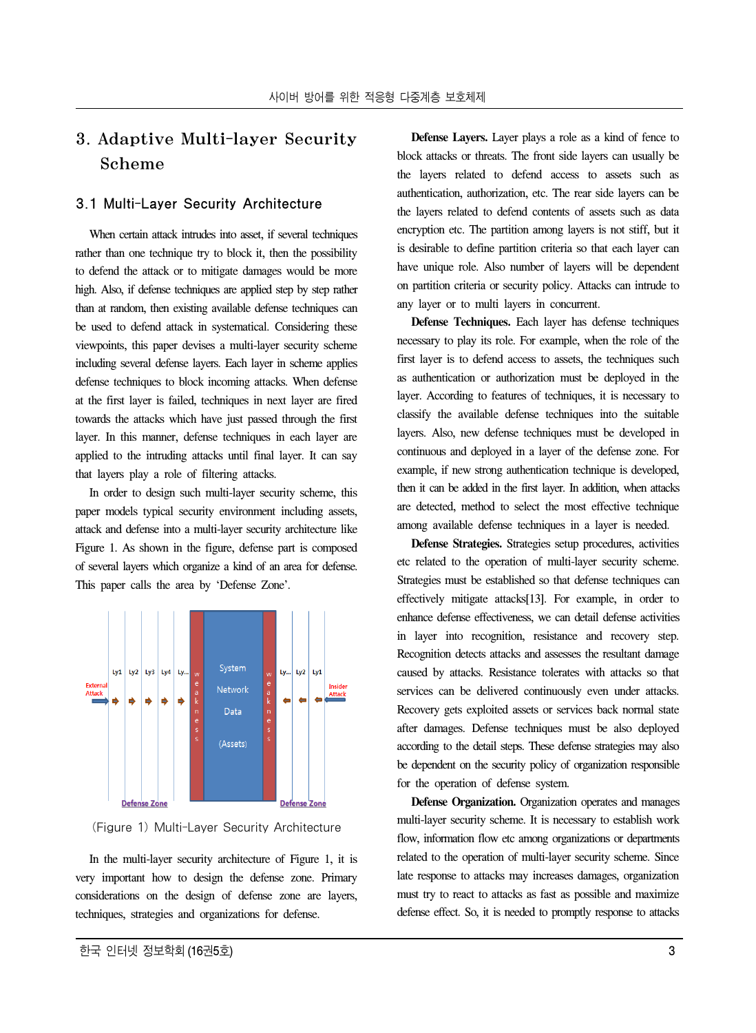# 3. Adaptive Multi-layer Security Scheme

#### 3.1 Multi-Layer Security Architecture

When certain attack intrudes into asset, if several techniques rather than one technique try to block it, then the possibility to defend the attack or to mitigate damages would be more high. Also, if defense techniques are applied step by step rather than at random, then existing available defense techniques can be used to defend attack in systematical. Considering these viewpoints, this paper devises a multi-layer security scheme including several defense layers. Each layer in scheme applies defense techniques to block incoming attacks. When defense at the first layer is failed, techniques in next layer are fired towards the attacks which have just passed through the first layer. In this manner, defense techniques in each layer are applied to the intruding attacks until final layer. It can say that layers play a role of filtering attacks.

In order to design such multi-layer security scheme, this paper models typical security environment including assets, attack and defense into a multi-layer security architecture like Figure 1. As shown in the figure, defense part is composed of several layers which organize a kind of an area for defense. This paper calls the area by 'Defense Zone'.



(Figure 1) Multi-Layer Security Architecture

In the multi-layer security architecture of Figure 1, it is very important how to design the defense zone. Primary considerations on the design of defense zone are layers, techniques, strategies and organizations for defense.

**Defense Layers.** Layer plays a role as a kind of fence to block attacks or threats. The front side layers can usually be the layers related to defend access to assets such as authentication, authorization, etc. The rear side layers can be the layers related to defend contents of assets such as data encryption etc. The partition among layers is not stiff, but it is desirable to define partition criteria so that each layer can have unique role. Also number of layers will be dependent on partition criteria or security policy. Attacks can intrude to any layer or to multi layers in concurrent.

**Defense Techniques.** Each layer has defense techniques necessary to play its role. For example, when the role of the first layer is to defend access to assets, the techniques such as authentication or authorization must be deployed in the layer. According to features of techniques, it is necessary to classify the available defense techniques into the suitable layers. Also, new defense techniques must be developed in continuous and deployed in a layer of the defense zone. For example, if new strong authentication technique is developed, then it can be added in the first layer. In addition, when attacks are detected, method to select the most effective technique among available defense techniques in a layer is needed.

**Defense Strategies.** Strategies setup procedures, activities etc related to the operation of multi-layer security scheme. Strategies must be established so that defense techniques can effectively mitigate attacks[13]. For example, in order to enhance defense effectiveness, we can detail defense activities in layer into recognition, resistance and recovery step. Recognition detects attacks and assesses the resultant damage caused by attacks. Resistance tolerates with attacks so that services can be delivered continuously even under attacks. Recovery gets exploited assets or services back normal state after damages. Defense techniques must be also deployed according to the detail steps. These defense strategies may also be dependent on the security policy of organization responsible for the operation of defense system.

**Defense Organization.** Organization operates and manages multi-layer security scheme. It is necessary to establish work flow, information flow etc among organizations or departments related to the operation of multi-layer security scheme. Since late response to attacks may increases damages, organization must try to react to attacks as fast as possible and maximize defense effect. So, it is needed to promptly response to attacks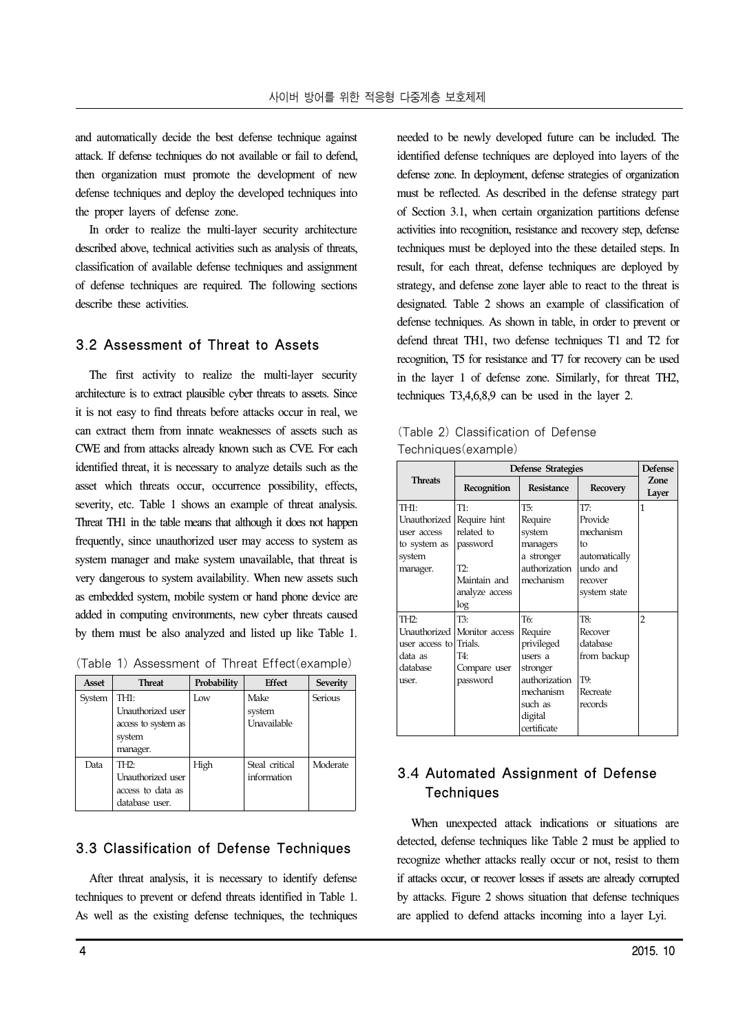and automatically decide the best defense technique against attack. If defense techniques do not available or fail to defend, then organization must promote the development of new defense techniques and deploy the developed techniques into the proper layers of defense zone.

In order to realize the multi-layer security architecture described above, technical activities such as analysis of threats, classification of available defense techniques and assignment of defense techniques are required. The following sections describe these activities.

#### 3.2 Assessment of Threat to Assets

The first activity to realize the multi-layer security architecture is to extract plausible cyber threats to assets. Since it is not easy to find threats before attacks occur in real, we can extract them from innate weaknesses of assets such as CWE and from attacks already known such as CVE. For each identified threat, it is necessary to analyze details such as the asset which threats occur, occurrence possibility, effects, severity, etc. Table 1 shows an example of threat analysis. Threat TH1 in the table means that although it does not happen frequently, since unauthorized user may access to system as system manager and make system unavailable, that threat is very dangerous to system availability. When new assets such as embedded system, mobile system or hand phone device are added in computing environments, new cyber threats caused by them must be also analyzed and listed up like Table 1.

(Table 1) Assessment of Threat Effect(example)

| <b>Asset</b> | <b>Threat</b>                                                                       | Probability | <b>Effect</b>                        | Severity |
|--------------|-------------------------------------------------------------------------------------|-------------|--------------------------------------|----------|
| System       | TH <sub>1</sub> :<br>Unauthorized user<br>access to system as<br>system<br>manager. | Low         | Make<br>system<br><b>Unavailable</b> | Serious  |
| Data         | TH2:<br>Unauthorized user<br>access to data as<br>database user.                    | High        | Steal critical<br>information        | Moderate |

#### 3.3 Classification of Defense Techniques

After threat analysis, it is necessary to identify defense techniques to prevent or defend threats identified in Table 1. As well as the existing defense techniques, the techniques

needed to be newly developed future can be included. The identified defense techniques are deployed into layers of the defense zone. In deployment, defense strategies of organization must be reflected. As described in the defense strategy part of Section 3.1, when certain organization partitions defense activities into recognition, resistance and recovery step, defense techniques must be deployed into the these detailed steps. In result, for each threat, defense techniques are deployed by strategy, and defense zone layer able to react to the threat is designated. Table 2 shows an example of classification of defense techniques. As shown in table, in order to prevent or defend threat TH1, two defense techniques T1 and T2 for recognition, T5 for resistance and T7 for recovery can be used in the layer 1 of defense zone. Similarly, for threat TH2, techniques T3,4,6,8,9 can be used in the layer 2.

|                      | (Table 2) Classification of Defense |  |  |  |  |
|----------------------|-------------------------------------|--|--|--|--|
| Techniques (example) |                                     |  |  |  |  |

|                                                                             | Defense Strategies                                                      | <b>Defense</b>                                                                                                         |                                                                         |                      |
|-----------------------------------------------------------------------------|-------------------------------------------------------------------------|------------------------------------------------------------------------------------------------------------------------|-------------------------------------------------------------------------|----------------------|
| <b>Threats</b>                                                              | Recognition                                                             | <b>Resistance</b>                                                                                                      | <b>Recovery</b>                                                         | <b>Zone</b><br>Layer |
| TH1:<br>Unauthorized  <br>user access<br>to system as<br>system             | T1:<br>Require hint<br>related to<br>password<br>T2:                    | T5:<br>Require<br>system<br>managers<br>a stronger<br>authorization                                                    | T7:<br>Provide<br>mechanism<br>to<br>automatically<br>undo and          | 1                    |
| manager.                                                                    | Maintain and<br>analyze access<br>log                                   | mechanism                                                                                                              | recover<br>system state                                                 |                      |
| TH <sub>2</sub> :<br>user access to Trials.<br>data as<br>database<br>user. | T3:<br>Unauthorized   Monitor access<br>T4·<br>Compare user<br>password | T6:<br>Require<br>privileged<br>users a<br>stronger<br>authorization<br>mechanism<br>such as<br>digital<br>certificate | T8:<br>Recover<br>database<br>from backup<br>T9:<br>Recreate<br>records | $\overline{2}$       |

## 3.4 Automated Assignment of Defense **Techniques**

When unexpected attack indications or situations are detected, defense techniques like Table 2 must be applied to recognize whether attacks really occur or not, resist to them if attacks occur, or recover losses if assets are already corrupted by attacks. Figure 2 shows situation that defense techniques are applied to defend attacks incoming into a layer Lyi.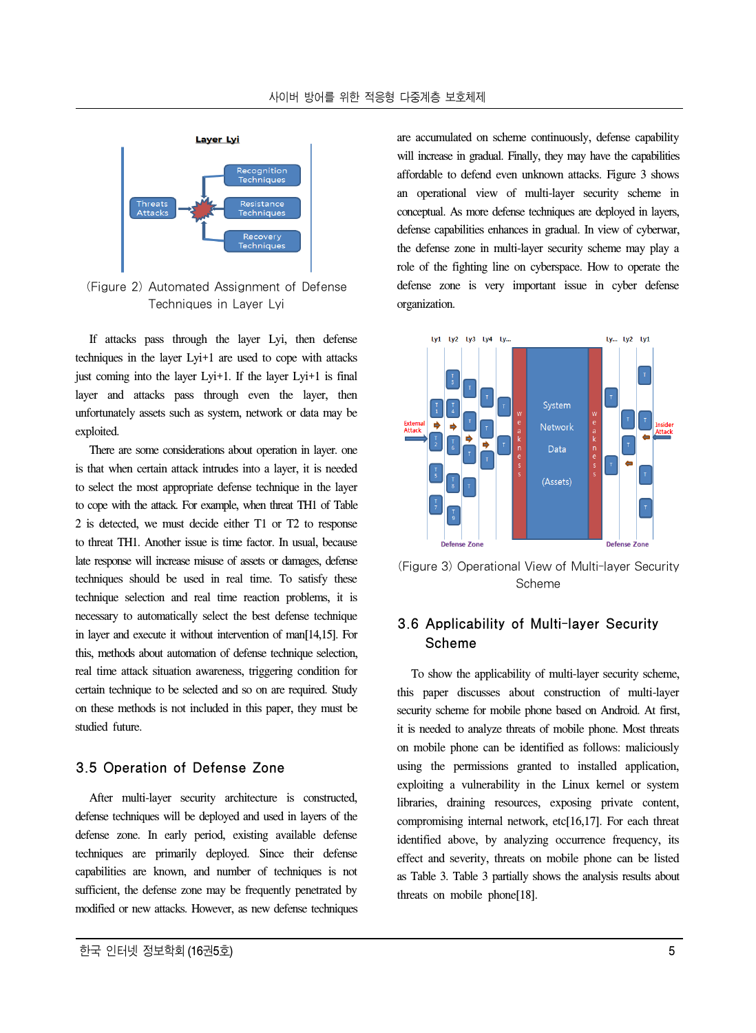

(Figure 2) Automated Assignment of Defense Techniques in Layer Lyi

If attacks pass through the layer Lyi, then defense techniques in the layer Lyi+1 are used to cope with attacks just coming into the layer Lyi+1. If the layer Lyi+1 is final layer and attacks pass through even the layer, then unfortunately assets such as system, network or data may be exploited.

There are some considerations about operation in layer. one is that when certain attack intrudes into a layer, it is needed to select the most appropriate defense technique in the layer to cope with the attack. For example, when threat TH1 of Table 2 is detected, we must decide either T1 or T2 to response to threat TH1. Another issue is time factor. In usual, because late response will increase misuse of assets or damages, defense techniques should be used in real time. To satisfy these technique selection and real time reaction problems, it is necessary to automatically select the best defense technique in layer and execute it without intervention of man[14,15]. For this, methods about automation of defense technique selection, real time attack situation awareness, triggering condition for certain technique to be selected and so on are required. Study on these methods is not included in this paper, they must be studied future.

### 3.5 Operation of Defense Zone

After multi-layer security architecture is constructed, defense techniques will be deployed and used in layers of the defense zone. In early period, existing available defense techniques are primarily deployed. Since their defense capabilities are known, and number of techniques is not sufficient, the defense zone may be frequently penetrated by modified or new attacks. However, as new defense techniques

are accumulated on scheme continuously, defense capability will increase in gradual. Finally, they may have the capabilities affordable to defend even unknown attacks. Figure 3 shows an operational view of multi-layer security scheme in conceptual. As more defense techniques are deployed in layers, defense capabilities enhances in gradual. In view of cyberwar, the defense zone in multi-layer security scheme may play a role of the fighting line on cyberspace. How to operate the defense zone is very important issue in cyber defense organization.



(Figure 3) Operational View of Multi-layer Security Scheme

## 3.6 Applicability of Multi-layer Security Scheme

To show the applicability of multi-layer security scheme, this paper discusses about construction of multi-layer security scheme for mobile phone based on Android. At first, it is needed to analyze threats of mobile phone. Most threats on mobile phone can be identified as follows: maliciously using the permissions granted to installed application, exploiting a vulnerability in the Linux kernel or system libraries, draining resources, exposing private content, compromising internal network, etc[16,17]. For each threat identified above, by analyzing occurrence frequency, its effect and severity, threats on mobile phone can be listed as Table 3. Table 3 partially shows the analysis results about threats on mobile phone[18].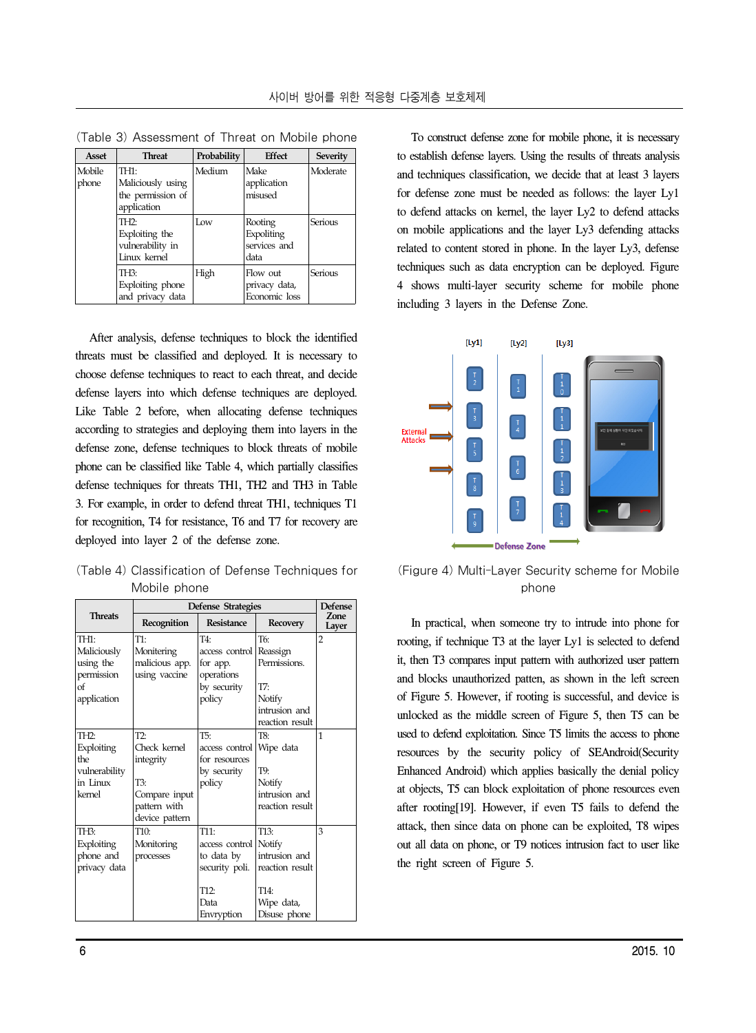| Asset           | <b>Threat</b>                                                            | Probability | <b>Effect</b>                                 | Severity |
|-----------------|--------------------------------------------------------------------------|-------------|-----------------------------------------------|----------|
| Mobile<br>phone | TH <sub>1</sub><br>Maliciously using<br>the permission of<br>application | Medium      | Make<br>application<br>misused                | Moderate |
|                 | TH <sub>2</sub> .<br>Exploiting the<br>vulnerability in<br>Linux kernel  | <b>Low</b>  | Rooting<br>Expoliting<br>services and<br>data | Serious  |
|                 | TH <sub>3</sub> :<br>Exploiting phone<br>and privacy data                | High        | Flow out<br>privacy data,<br>Economic loss    | Serious  |

(Table 3) Assessment of Threat on Mobile phone

After analysis, defense techniques to block the identified threats must be classified and deployed. It is necessary to choose defense techniques to react to each threat, and decide defense layers into which defense techniques are deployed. Like Table 2 before, when allocating defense techniques according to strategies and deploying them into layers in the defense zone, defense techniques to block threats of mobile phone can be classified like Table 4, which partially classifies defense techniques for threats TH1, TH2 and TH3 in Table 3. For example, in order to defend threat TH1, techniques T1 for recognition, T4 for resistance, T6 and T7 for recovery are deployed into layer 2 of the defense zone.

(Table 4) Classification of Defense Techniques for Mobile phone

|                | <b>Defense Strategies</b> | <b>Defense</b>    |                  |                      |
|----------------|---------------------------|-------------------|------------------|----------------------|
| <b>Threats</b> | Recognition               | <b>Resistance</b> | Recovery         | <b>Zone</b><br>Layer |
| TH1.           | $\mathsf{T1}:$            | T4:               | T <sub>6</sub> : | 2                    |
| Maliciously    | Monitering                | access control    | Reassign         |                      |
| using the      | malicious app.            | for app.          | Permissions.     |                      |
| permission     | using vaccine             | operations        |                  |                      |
| of             |                           | by security       | T7:              |                      |
| application    |                           | policy            | Notify           |                      |
|                |                           |                   | intrusion and    |                      |
|                |                           |                   | reaction result  |                      |
| TH2:           | T7.                       | T5:               | T8:              | 1                    |
| Exploiting     | Check kernel              | access control    | Wipe data        |                      |
| the            | integrity                 | for resources     |                  |                      |
| vulnerability  |                           | by security       | T9:              |                      |
| in Linux       | T3:                       | policy            | Notify           |                      |
| kernel         | Compare input             |                   | intrusion and    |                      |
|                | pattern with              |                   | reaction result  |                      |
|                | device pattern            |                   |                  |                      |
| TH3:           | T10:                      | T11:              | T13:             | 3                    |
| Exploiting     | Monitoring                | access control    | Notify           |                      |
| phone and      | processes                 | to data by        | intrusion and    |                      |
| privacy data   |                           | security poli.    | reaction result  |                      |
|                |                           |                   |                  |                      |
|                |                           | T12:              | T14:             |                      |
|                |                           | Data              | Wipe data,       |                      |
|                |                           | Envryption        | Disuse phone     |                      |

To construct defense zone for mobile phone, it is necessary to establish defense layers. Using the results of threats analysis and techniques classification, we decide that at least 3 layers for defense zone must be needed as follows: the layer Ly1 to defend attacks on kernel, the layer Ly2 to defend attacks on mobile applications and the layer Ly3 defending attacks related to content stored in phone. In the layer Ly3, defense techniques such as data encryption can be deployed. Figure 4 shows multi-layer security scheme for mobile phone including 3 layers in the Defense Zone.



(Figure 4) Multi-Layer Security scheme for Mobile phone

In practical, when someone try to intrude into phone for rooting, if technique T3 at the layer Ly1 is selected to defend it, then T3 compares input pattern with authorized user pattern and blocks unauthorized patten, as shown in the left screen of Figure 5. However, if rooting is successful, and device is unlocked as the middle screen of Figure 5, then T5 can be used to defend exploitation. Since T5 limits the access to phone resources by the security policy of SEAndroid(Security Enhanced Android) which applies basically the denial policy at objects, T5 can block exploitation of phone resources even after rooting[19]. However, if even T5 fails to defend the attack, then since data on phone can be exploited, T8 wipes out all data on phone, or T9 notices intrusion fact to user like the right screen of Figure 5.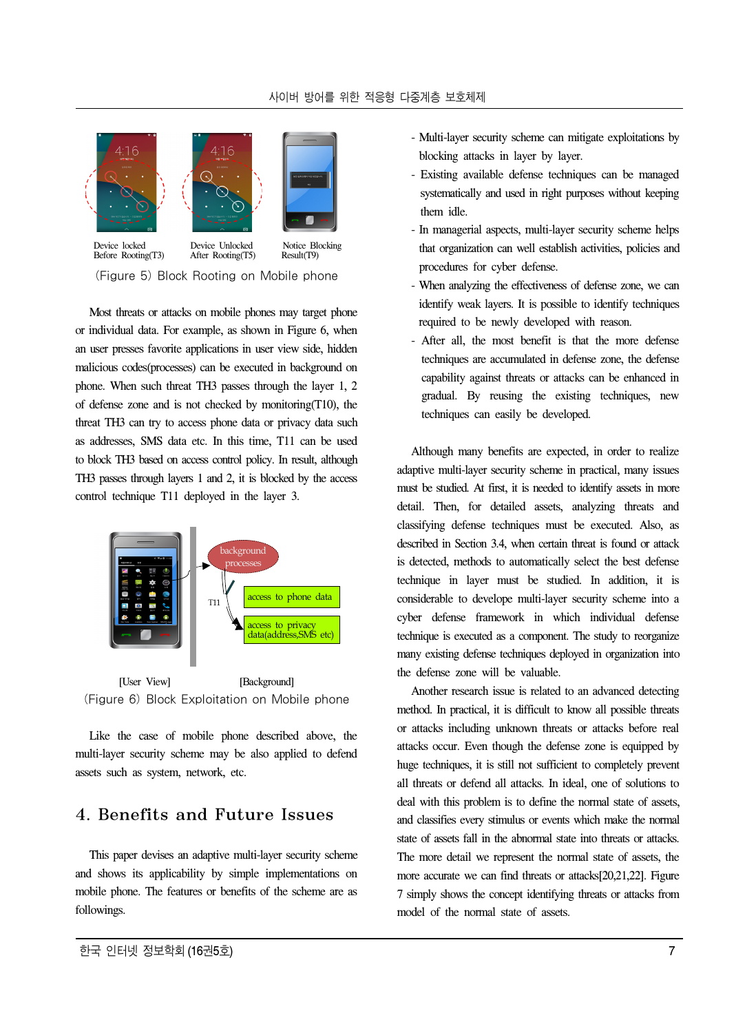

Most threats or attacks on mobile phones may target phone or individual data. For example, as shown in Figure 6, when an user presses favorite applications in user view side, hidden malicious codes(processes) can be executed in background on phone. When such threat TH3 passes through the layer 1, 2 of defense zone and is not checked by monitoring(T10), the threat TH3 can try to access phone data or privacy data such as addresses, SMS data etc. In this time, T11 can be used to block TH3 based on access control policy. In result, although TH3 passes through layers 1 and 2, it is blocked by the access control technique T11 deployed in the layer 3.



[User View] [Background] (Figure 6) Block Exploitation on Mobile phone

Like the case of mobile phone described above, the multi-layer security scheme may be also applied to defend assets such as system, network, etc.

## 4. Benefits and Future Issues

This paper devises an adaptive multi-layer security scheme and shows its applicability by simple implementations on mobile phone. The features or benefits of the scheme are as followings.

- Multi-layer security scheme can mitigate exploitations by blocking attacks in layer by layer.
- Existing available defense techniques can be managed systematically and used in right purposes without keeping them idle.
- In managerial aspects, multi-layer security scheme helps that organization can well establish activities, policies and procedures for cyber defense.
- When analyzing the effectiveness of defense zone, we can identify weak layers. It is possible to identify techniques required to be newly developed with reason.
- After all, the most benefit is that the more defense techniques are accumulated in defense zone, the defense capability against threats or attacks can be enhanced in gradual. By reusing the existing techniques, new techniques can easily be developed.

Although many benefits are expected, in order to realize adaptive multi-layer security scheme in practical, many issues must be studied. At first, it is needed to identify assets in more detail. Then, for detailed assets, analyzing threats and classifying defense techniques must be executed. Also, as described in Section 3.4, when certain threat is found or attack is detected, methods to automatically select the best defense technique in layer must be studied. In addition, it is considerable to develope multi-layer security scheme into a cyber defense framework in which individual defense technique is executed as a component. The study to reorganize many existing defense techniques deployed in organization into the defense zone will be valuable.

Another research issue is related to an advanced detecting method. In practical, it is difficult to know all possible threats or attacks including unknown threats or attacks before real attacks occur. Even though the defense zone is equipped by huge techniques, it is still not sufficient to completely prevent all threats or defend all attacks. In ideal, one of solutions to deal with this problem is to define the normal state of assets, and classifies every stimulus or events which make the normal state of assets fall in the abnormal state into threats or attacks. The more detail we represent the normal state of assets, the more accurate we can find threats or attacks[20,21,22]. Figure 7 simply shows the concept identifying threats or attacks from model of the normal state of assets.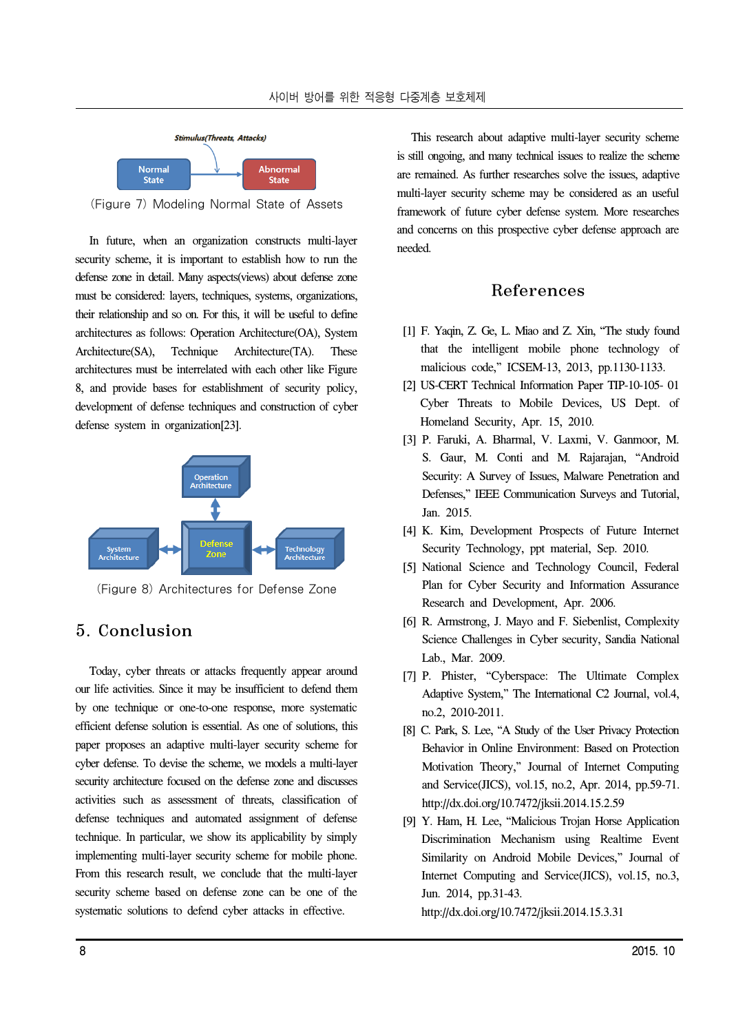

(Figure 7) Modeling Normal State of Assets

In future, when an organization constructs multi-layer security scheme, it is important to establish how to run the defense zone in detail. Many aspects(views) about defense zone must be considered: layers, techniques, systems, organizations, their relationship and so on. For this, it will be useful to define architectures as follows: Operation Architecture(OA), System Architecture(SA), Technique Architecture(TA). These architectures must be interrelated with each other like Figure 8, and provide bases for establishment of security policy, development of defense techniques and construction of cyber defense system in organization[23].



(Figure 8) Architectures for Defense Zone

## 5. Conclusion

Today, cyber threats or attacks frequently appear around our life activities. Since it may be insufficient to defend them by one technique or one-to-one response, more systematic efficient defense solution is essential. As one of solutions, this paper proposes an adaptive multi-layer security scheme for cyber defense. To devise the scheme, we models a multi-layer security architecture focused on the defense zone and discusses activities such as assessment of threats, classification of defense techniques and automated assignment of defense technique. In particular, we show its applicability by simply implementing multi-layer security scheme for mobile phone. From this research result, we conclude that the multi-layer security scheme based on defense zone can be one of the systematic solutions to defend cyber attacks in effective.

This research about adaptive multi-layer security scheme is still ongoing, and many technical issues to realize the scheme are remained. As further researches solve the issues, adaptive multi-layer security scheme may be considered as an useful framework of future cyber defense system. More researches and concerns on this prospective cyber defense approach are needed.

## References

- [1] F. Yaqin, Z. Ge, L. Miao and Z. Xin, "The study found that the intelligent mobile phone technology of malicious code," ICSEM-13, 2013, pp.1130-1133.
- [2] US-CERT Technical Information Paper TIP-10-105- 01 Cyber Threats to Mobile Devices, US Dept. of Homeland Security, Apr. 15, 2010.
- [3] P. Faruki, A. Bharmal, V. Laxmi, V. Ganmoor, M. S. Gaur, M. Conti and M. Rajarajan, "Android Security: A Survey of Issues, Malware Penetration and Defenses," IEEE Communication Surveys and Tutorial, Jan. 2015.
- [4] K. Kim, Development Prospects of Future Internet Security Technology, ppt material, Sep. 2010.
- [5] National Science and Technology Council, Federal Plan for Cyber Security and Information Assurance Research and Development, Apr. 2006.
- [6] R. Armstrong, J. Mayo and F. Siebenlist, Complexity Science Challenges in Cyber security, Sandia National Lab., Mar. 2009.
- [7] P. Phister, "Cyberspace: The Ultimate Complex Adaptive System," The International C2 Journal, vol.4, no.2, 2010-2011.
- [8] C. Park, S. Lee, "A Study of the User Privacy Protection Behavior in Online Environment: Based on Protection Motivation Theory," Journal of Internet Computing and Service(JICS), vol.15, no.2, Apr. 2014, pp.59-71. http://dx.doi.org/10.7472/jksii.2014.15.2.59
- [9] Y. Ham, H. Lee, "Malicious Trojan Horse Application Discrimination Mechanism using Realtime Event Similarity on Android Mobile Devices," Journal of Internet Computing and Service(JICS), vol.15, no.3, Jun. 2014, pp.31-43.

http://dx.doi.org/10.7472/jksii.2014.15.3.31